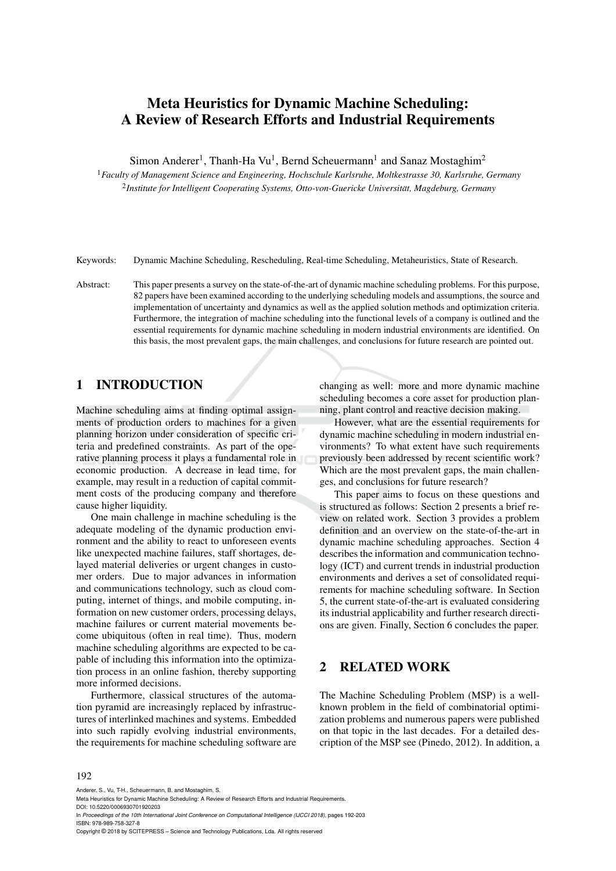# Meta Heuristics for Dynamic Machine Scheduling: A Review of Research Efforts and Industrial Requirements

Simon Anderer<sup>1</sup>, Thanh-Ha Vu<sup>1</sup>, Bernd Scheuermann<sup>1</sup> and Sanaz Mostaghim<sup>2</sup>

<sup>1</sup>*Faculty of Management Science and Engineering, Hochschule Karlsruhe, Moltkestrasse 30, Karlsruhe, Germany* 2 *Institute for Intelligent Cooperating Systems, Otto-von-Guericke Universitat, Magdeburg, Germany ¨*

Keywords: Dynamic Machine Scheduling, Rescheduling, Real-time Scheduling, Metaheuristics, State of Research.

Abstract: This paper presents a survey on the state-of-the-art of dynamic machine scheduling problems. For this purpose, 82 papers have been examined according to the underlying scheduling models and assumptions, the source and implementation of uncertainty and dynamics as well as the applied solution methods and optimization criteria. Furthermore, the integration of machine scheduling into the functional levels of a company is outlined and the essential requirements for dynamic machine scheduling in modern industrial environments are identified. On this basis, the most prevalent gaps, the main challenges, and conclusions for future research are pointed out.

### 1 INTRODUCTION

Machine scheduling aims at finding optimal assignments of production orders to machines for a given planning horizon under consideration of specific criteria and predefined constraints. As part of the operative planning process it plays a fundamental role in economic production. A decrease in lead time, for example, may result in a reduction of capital commitment costs of the producing company and therefore cause higher liquidity.

One main challenge in machine scheduling is the adequate modeling of the dynamic production environment and the ability to react to unforeseen events like unexpected machine failures, staff shortages, delayed material deliveries or urgent changes in customer orders. Due to major advances in information and communications technology, such as cloud computing, internet of things, and mobile computing, information on new customer orders, processing delays, machine failures or current material movements become ubiquitous (often in real time). Thus, modern machine scheduling algorithms are expected to be capable of including this information into the optimization process in an online fashion, thereby supporting more informed decisions.

Furthermore, classical structures of the automation pyramid are increasingly replaced by infrastructures of interlinked machines and systems. Embedded into such rapidly evolving industrial environments, the requirements for machine scheduling software are changing as well: more and more dynamic machine scheduling becomes a core asset for production planning, plant control and reactive decision making.

However, what are the essential requirements for dynamic machine scheduling in modern industrial environments? To what extent have such requirements previously been addressed by recent scientific work? Which are the most prevalent gaps, the main challenges, and conclusions for future research?

This paper aims to focus on these questions and is structured as follows: Section 2 presents a brief review on related work. Section 3 provides a problem definition and an overview on the state-of-the-art in dynamic machine scheduling approaches. Section 4 describes the information and communication technology (ICT) and current trends in industrial production environments and derives a set of consolidated requirements for machine scheduling software. In Section 5, the current state-of-the-art is evaluated considering its industrial applicability and further research directions are given. Finally, Section 6 concludes the paper.

## 2 RELATED WORK

The Machine Scheduling Problem (MSP) is a wellknown problem in the field of combinatorial optimization problems and numerous papers were published on that topic in the last decades. For a detailed description of the MSP see (Pinedo, 2012). In addition, a

Anderer, S., Vu, T-H., Scheuermann, B. and Mostaghim, S.

In *Proceedings of the 10th International Joint Conference on Computational Intelligence (IJCCI 2018)*, pages 192-203 ISBN: 978-989-758-327-8

Copyright © 2018 by SCITEPRESS – Science and Technology Publications, Lda. All rights reserved

Meta Heuristics for Dynamic Machine Scheduling: A Review of Research Efforts and Industrial Requirements. DOI: 10.5220/0006930701920203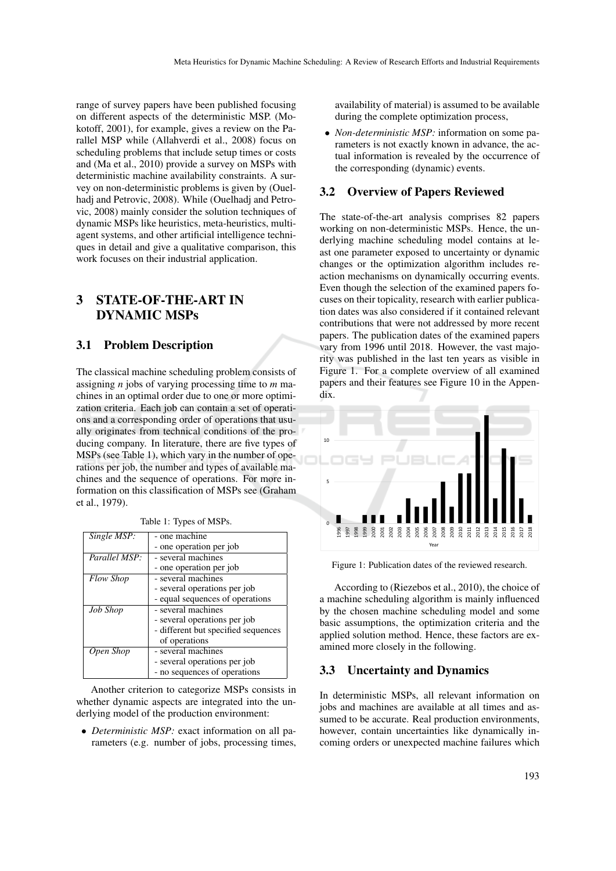range of survey papers have been published focusing on different aspects of the deterministic MSP. (Mokotoff, 2001), for example, gives a review on the Parallel MSP while (Allahverdi et al., 2008) focus on scheduling problems that include setup times or costs and (Ma et al., 2010) provide a survey on MSPs with deterministic machine availability constraints. A survey on non-deterministic problems is given by (Ouelhadj and Petrovic, 2008). While (Ouelhadj and Petrovic, 2008) mainly consider the solution techniques of dynamic MSPs like heuristics, meta-heuristics, multiagent systems, and other artificial intelligence techniques in detail and give a qualitative comparison, this work focuses on their industrial application.

# 3 STATE-OF-THE-ART IN DYNAMIC MSPs

### 3.1 Problem Description

The classical machine scheduling problem consists of assigning *n* jobs of varying processing time to *m* machines in an optimal order due to one or more optimization criteria. Each job can contain a set of operations and a corresponding order of operations that usually originates from technical conditions of the producing company. In literature, there are five types of MSPs (see Table 1), which vary in the number of operations per job, the number and types of available machines and the sequence of operations. For more information on this classification of MSPs see (Graham et al., 1979).

| Single MSP:      | - one machine                       |
|------------------|-------------------------------------|
|                  | - one operation per job             |
| Parallel MSP:    | - several machines                  |
|                  | - one operation per job             |
| <b>Flow Shop</b> | - several machines                  |
|                  | - several operations per job        |
|                  | - equal sequences of operations     |
| <b>Job Shop</b>  | - several machines                  |
|                  | - several operations per job        |
|                  | - different but specified sequences |
|                  | of operations                       |
| Open Shop        | - several machines                  |
|                  | - several operations per job        |
|                  | - no sequences of operations        |

#### Table 1: Types of MSPs.

Another criterion to categorize MSPs consists in whether dynamic aspects are integrated into the underlying model of the production environment:

• *Deterministic MSP:* exact information on all parameters (e.g. number of jobs, processing times, availability of material) is assumed to be available during the complete optimization process,

• *Non-deterministic MSP:* information on some parameters is not exactly known in advance, the actual information is revealed by the occurrence of the corresponding (dynamic) events.

#### 3.2 Overview of Papers Reviewed

The state-of-the-art analysis comprises 82 papers working on non-deterministic MSPs. Hence, the underlying machine scheduling model contains at least one parameter exposed to uncertainty or dynamic changes or the optimization algorithm includes reaction mechanisms on dynamically occurring events. Even though the selection of the examined papers focuses on their topicality, research with earlier publication dates was also considered if it contained relevant contributions that were not addressed by more recent papers. The publication dates of the examined papers vary from 1996 until 2018. However, the vast majority was published in the last ten years as visible in Figure 1. For a complete overview of all examined papers and their features see Figure 10 in the Appendix.



Figure 1: Publication dates of the reviewed research.

According to (Riezebos et al., 2010), the choice of a machine scheduling algorithm is mainly influenced by the chosen machine scheduling model and some basic assumptions, the optimization criteria and the applied solution method. Hence, these factors are examined more closely in the following.

#### 3.3 Uncertainty and Dynamics

In deterministic MSPs, all relevant information on jobs and machines are available at all times and assumed to be accurate. Real production environments, however, contain uncertainties like dynamically incoming orders or unexpected machine failures which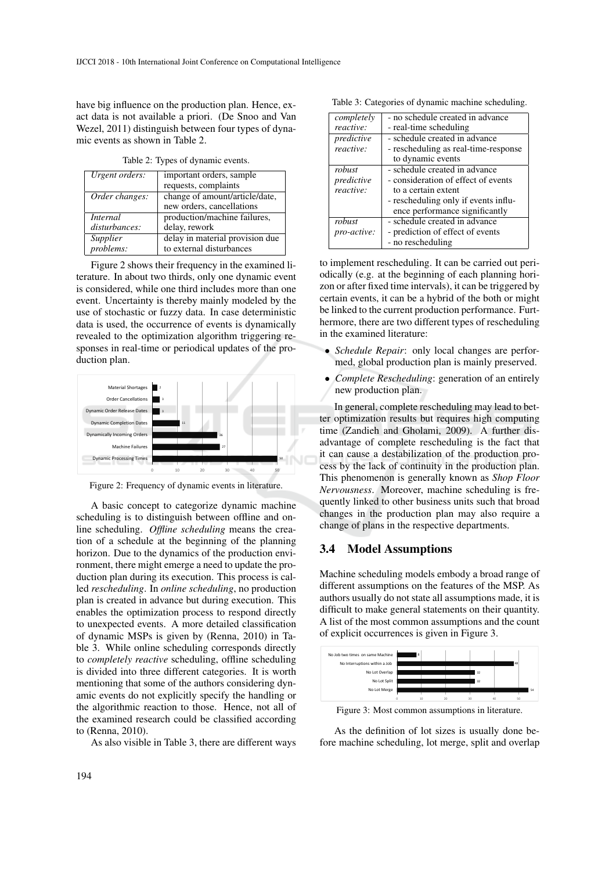have big influence on the production plan. Hence, exact data is not available a priori. (De Snoo and Van Wezel, 2011) distinguish between four types of dynamic events as shown in Table 2.

Table 2: Types of dynamic events.

| Urgent orders: | important orders, sample        |
|----------------|---------------------------------|
|                | requests, complaints            |
| Order changes: | change of amount/article/date,  |
|                | new orders, cancellations       |
| Internal       | production/machine failures,    |
| disturbances:  | delay, rework                   |
| Supplier       | delay in material provision due |
| problems:      | to external disturbances        |

Figure 2 shows their frequency in the examined literature. In about two thirds, only one dynamic event is considered, while one third includes more than one event. Uncertainty is thereby mainly modeled by the use of stochastic or fuzzy data. In case deterministic data is used, the occurrence of events is dynamically revealed to the optimization algorithm triggering responses in real-time or periodical updates of the production plan.



Figure 2: Frequency of dynamic events in literature.

A basic concept to categorize dynamic machine scheduling is to distinguish between offline and online scheduling. *Offline scheduling* means the creation of a schedule at the beginning of the planning horizon. Due to the dynamics of the production environment, there might emerge a need to update the production plan during its execution. This process is called *rescheduling*. In *online scheduling*, no production plan is created in advance but during execution. This enables the optimization process to respond directly to unexpected events. A more detailed classification of dynamic MSPs is given by (Renna, 2010) in Table 3. While online scheduling corresponds directly to *completely reactive* scheduling, offline scheduling is divided into three different categories. It is worth mentioning that some of the authors considering dynamic events do not explicitly specify the handling or the algorithmic reaction to those. Hence, not all of the examined research could be classified according to (Renna, 2010).

As also visible in Table 3, there are different ways

Table 3: Categories of dynamic machine scheduling.

| - no schedule created in advance     |
|--------------------------------------|
| - real-time scheduling               |
| - schedule created in advance        |
| - rescheduling as real-time-response |
| to dynamic events                    |
| - schedule created in advance        |
| - consideration of effect of events  |
| to a certain extent                  |
| - rescheduling only if events influ- |
| ence performance significantly       |
| - schedule created in advance        |
| - prediction of effect of events     |
| - no rescheduling                    |
|                                      |

to implement rescheduling. It can be carried out periodically (e.g. at the beginning of each planning horizon or after fixed time intervals), it can be triggered by certain events, it can be a hybrid of the both or might be linked to the current production performance. Furthermore, there are two different types of rescheduling in the examined literature:

- *Schedule Repair*: only local changes are performed, global production plan is mainly preserved.
- *Complete Rescheduling*: generation of an entirely new production plan.

In general, complete rescheduling may lead to better optimization results but requires high computing time (Zandieh and Gholami, 2009). A further disadvantage of complete rescheduling is the fact that it can cause a destabilization of the production process by the lack of continuity in the production plan. This phenomenon is generally known as *Shop Floor Nervousness*. Moreover, machine scheduling is frequently linked to other business units such that broad changes in the production plan may also require a change of plans in the respective departments.

#### 3.4 Model Assumptions

Machine scheduling models embody a broad range of different assumptions on the features of the MSP. As authors usually do not state all assumptions made, it is difficult to make general statements on their quantity. A list of the most common assumptions and the count of explicit occurrences is given in Figure 3.



Figure 3: Most common assumptions in literature.

As the definition of lot sizes is usually done before machine scheduling, lot merge, split and overlap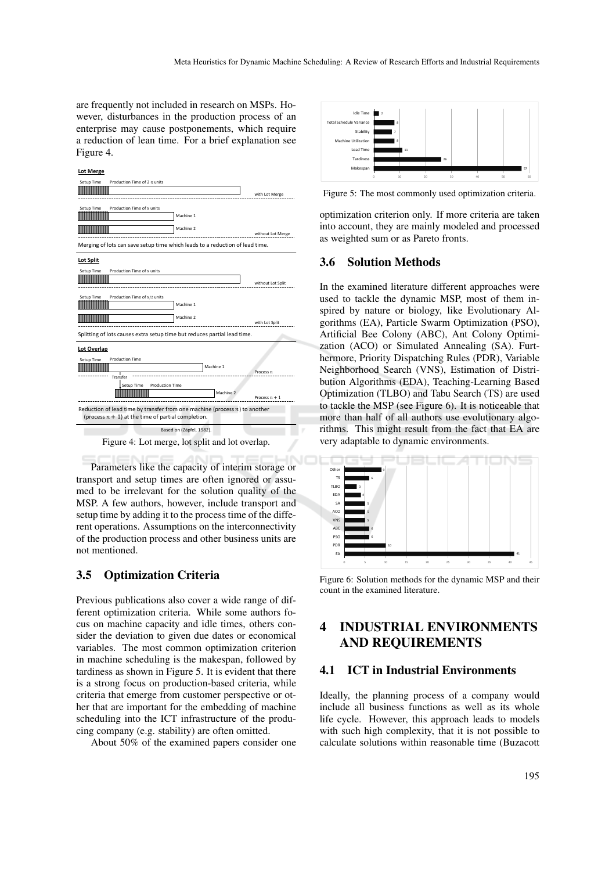are frequently not included in research on MSPs. However, disturbances in the production process of an enterprise may cause postponements, which require a reduction of lean time. For a brief explanation see Figure 4.



Parameters like the capacity of interim storage or transport and setup times are often ignored or assumed to be irrelevant for the solution quality of the MSP. A few authors, however, include transport and setup time by adding it to the process time of the different operations. Assumptions on the interconnectivity of the production process and other business units are not mentioned.

### 3.5 Optimization Criteria

Previous publications also cover a wide range of different optimization criteria. While some authors focus on machine capacity and idle times, others consider the deviation to given due dates or economical variables. The most common optimization criterion in machine scheduling is the makespan, followed by tardiness as shown in Figure 5. It is evident that there is a strong focus on production-based criteria, while criteria that emerge from customer perspective or other that are important for the embedding of machine scheduling into the ICT infrastructure of the producing company (e.g. stability) are often omitted.

About 50% of the examined papers consider one



Figure 5: The most commonly used optimization criteria.

optimization criterion only. If more criteria are taken into account, they are mainly modeled and processed as weighted sum or as Pareto fronts.

### 3.6 Solution Methods

In the examined literature different approaches were used to tackle the dynamic MSP, most of them inspired by nature or biology, like Evolutionary Algorithms (EA), Particle Swarm Optimization (PSO), Artificial Bee Colony (ABC), Ant Colony Optimization (ACO) or Simulated Annealing (SA). Furthermore, Priority Dispatching Rules (PDR), Variable Neighborhood Search (VNS), Estimation of Distribution Algorithms (EDA), Teaching-Learning Based Optimization (TLBO) and Tabu Search (TS) are used to tackle the MSP (see Figure 6). It is noticeable that more than half of all authors use evolutionary algorithms. This might result from the fact that EA are very adaptable to dynamic environments.



Figure 6: Solution methods for the dynamic MSP and their count in the examined literature.

# 4 INDUSTRIAL ENVIRONMENTS AND REQUIREMENTS

#### 4.1 ICT in Industrial Environments

Ideally, the planning process of a company would include all business functions as well as its whole life cycle. However, this approach leads to models with such high complexity, that it is not possible to calculate solutions within reasonable time (Buzacott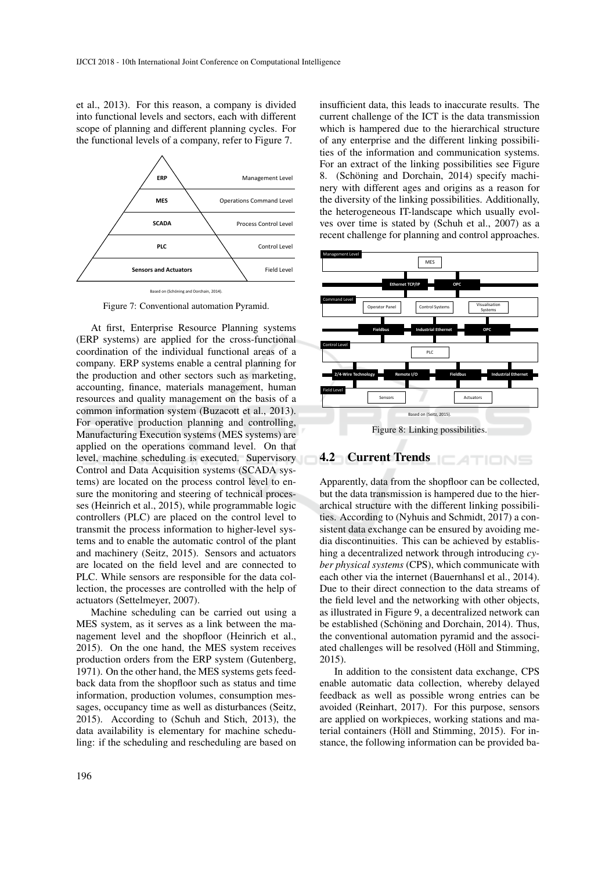et al., 2013). For this reason, a company is divided into functional levels and sectors, each with different scope of planning and different planning cycles. For the functional levels of a company, refer to Figure 7.



Figure 7: Conventional automation Pyramid.

At first, Enterprise Resource Planning systems (ERP systems) are applied for the cross-functional coordination of the individual functional areas of a company. ERP systems enable a central planning for the production and other sectors such as marketing, accounting, finance, materials management, human resources and quality management on the basis of a common information system (Buzacott et al., 2013). For operative production planning and controlling, Manufacturing Execution systems (MES systems) are applied on the operations command level. On that level, machine scheduling is executed. Supervisory Control and Data Acquisition systems (SCADA systems) are located on the process control level to ensure the monitoring and steering of technical processes (Heinrich et al., 2015), while programmable logic controllers (PLC) are placed on the control level to transmit the process information to higher-level systems and to enable the automatic control of the plant and machinery (Seitz, 2015). Sensors and actuators are located on the field level and are connected to PLC. While sensors are responsible for the data collection, the processes are controlled with the help of actuators (Settelmeyer, 2007).

Machine scheduling can be carried out using a MES system, as it serves as a link between the management level and the shopfloor (Heinrich et al., 2015). On the one hand, the MES system receives production orders from the ERP system (Gutenberg, 1971). On the other hand, the MES systems gets feedback data from the shopfloor such as status and time information, production volumes, consumption messages, occupancy time as well as disturbances (Seitz, 2015). According to (Schuh and Stich, 2013), the data availability is elementary for machine scheduling: if the scheduling and rescheduling are based on

insufficient data, this leads to inaccurate results. The current challenge of the ICT is the data transmission which is hampered due to the hierarchical structure of any enterprise and the different linking possibilities of the information and communication systems. For an extract of the linking possibilities see Figure 8. (Schöning and Dorchain, 2014) specify machinery with different ages and origins as a reason for the diversity of the linking possibilities. Additionally, the heterogeneous IT-landscape which usually evolves over time is stated by (Schuh et al., 2007) as a recent challenge for planning and control approaches.



4.2 Current Trends | ATIONS

Apparently, data from the shopfloor can be collected, but the data transmission is hampered due to the hierarchical structure with the different linking possibilities. According to (Nyhuis and Schmidt, 2017) a consistent data exchange can be ensured by avoiding media discontinuities. This can be achieved by establishing a decentralized network through introducing *cyber physical systems* (CPS), which communicate with each other via the internet (Bauernhansl et al., 2014). Due to their direct connection to the data streams of the field level and the networking with other objects, as illustrated in Figure 9, a decentralized network can be established (Schöning and Dorchain, 2014). Thus, the conventional automation pyramid and the associated challenges will be resolved (Höll and Stimming, 2015).

In addition to the consistent data exchange, CPS enable automatic data collection, whereby delayed feedback as well as possible wrong entries can be avoided (Reinhart, 2017). For this purpose, sensors are applied on workpieces, working stations and material containers (Höll and Stimming, 2015). For instance, the following information can be provided ba-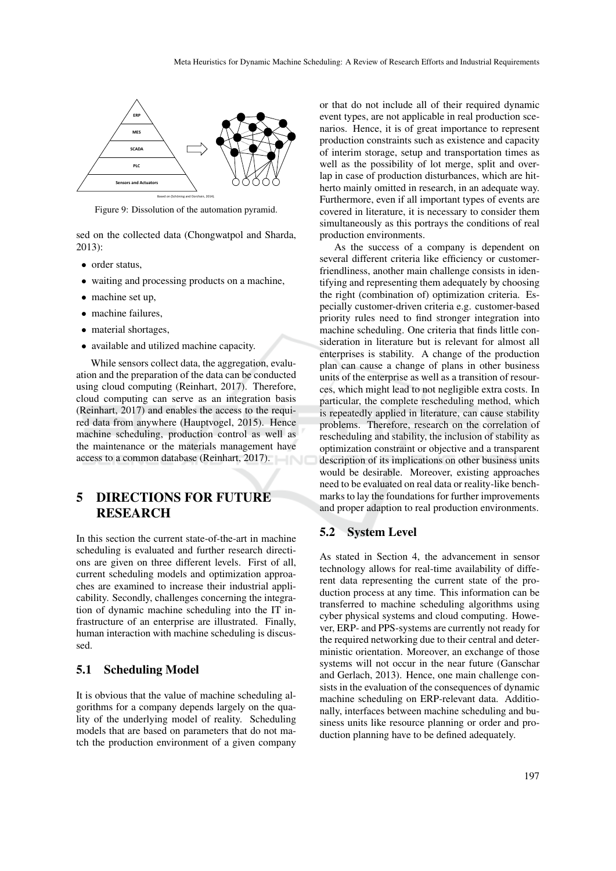

Figure 9: Dissolution of the automation pyramid.

sed on the collected data (Chongwatpol and Sharda, 2013):

- order status,
- waiting and processing products on a machine,
- machine set up,
- machine failures,
- material shortages,
- available and utilized machine capacity.

While sensors collect data, the aggregation, evaluation and the preparation of the data can be conducted using cloud computing (Reinhart, 2017). Therefore, cloud computing can serve as an integration basis (Reinhart, 2017) and enables the access to the required data from anywhere (Hauptvogel, 2015). Hence machine scheduling, production control as well as the maintenance or the materials management have access to a common database (Reinhart, 2017).

# 5 DIRECTIONS FOR FUTURE RESEARCH

In this section the current state-of-the-art in machine scheduling is evaluated and further research directions are given on three different levels. First of all, current scheduling models and optimization approaches are examined to increase their industrial applicability. Secondly, challenges concerning the integration of dynamic machine scheduling into the IT infrastructure of an enterprise are illustrated. Finally, human interaction with machine scheduling is discussed.

#### 5.1 Scheduling Model

It is obvious that the value of machine scheduling algorithms for a company depends largely on the quality of the underlying model of reality. Scheduling models that are based on parameters that do not match the production environment of a given company

or that do not include all of their required dynamic event types, are not applicable in real production scenarios. Hence, it is of great importance to represent production constraints such as existence and capacity of interim storage, setup and transportation times as well as the possibility of lot merge, split and overlap in case of production disturbances, which are hitherto mainly omitted in research, in an adequate way. Furthermore, even if all important types of events are covered in literature, it is necessary to consider them simultaneously as this portrays the conditions of real production environments.

As the success of a company is dependent on several different criteria like efficiency or customerfriendliness, another main challenge consists in identifying and representing them adequately by choosing the right (combination of) optimization criteria. Especially customer-driven criteria e.g. customer-based priority rules need to find stronger integration into machine scheduling. One criteria that finds little consideration in literature but is relevant for almost all enterprises is stability. A change of the production plan can cause a change of plans in other business units of the enterprise as well as a transition of resources, which might lead to not negligible extra costs. In particular, the complete rescheduling method, which is repeatedly applied in literature, can cause stability problems. Therefore, research on the correlation of rescheduling and stability, the inclusion of stability as optimization constraint or objective and a transparent description of its implications on other business units would be desirable. Moreover, existing approaches need to be evaluated on real data or reality-like benchmarks to lay the foundations for further improvements and proper adaption to real production environments.

### 5.2 System Level

As stated in Section 4, the advancement in sensor technology allows for real-time availability of different data representing the current state of the production process at any time. This information can be transferred to machine scheduling algorithms using cyber physical systems and cloud computing. However, ERP- and PPS-systems are currently not ready for the required networking due to their central and deterministic orientation. Moreover, an exchange of those systems will not occur in the near future (Ganschar and Gerlach, 2013). Hence, one main challenge consists in the evaluation of the consequences of dynamic machine scheduling on ERP-relevant data. Additionally, interfaces between machine scheduling and business units like resource planning or order and production planning have to be defined adequately.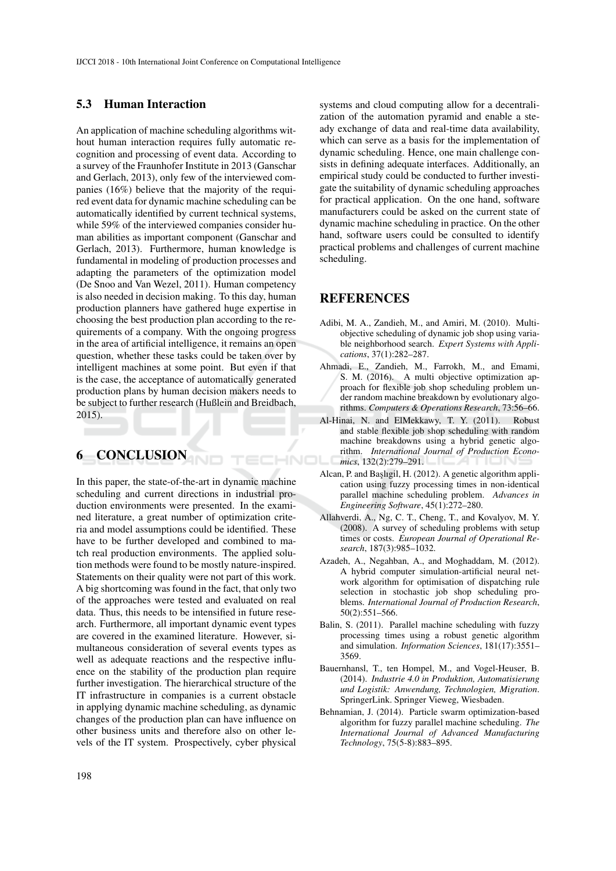#### 5.3 Human Interaction

An application of machine scheduling algorithms without human interaction requires fully automatic recognition and processing of event data. According to a survey of the Fraunhofer Institute in 2013 (Ganschar and Gerlach, 2013), only few of the interviewed companies (16%) believe that the majority of the required event data for dynamic machine scheduling can be automatically identified by current technical systems, while 59% of the interviewed companies consider human abilities as important component (Ganschar and Gerlach, 2013). Furthermore, human knowledge is fundamental in modeling of production processes and adapting the parameters of the optimization model (De Snoo and Van Wezel, 2011). Human competency is also needed in decision making. To this day, human production planners have gathered huge expertise in choosing the best production plan according to the requirements of a company. With the ongoing progress in the area of artificial intelligence, it remains an open question, whether these tasks could be taken over by intelligent machines at some point. But even if that is the case, the acceptance of automatically generated production plans by human decision makers needs to be subject to further research (Hußlein and Breidbach, 2015).

# 6 CONCLUSION

In this paper, the state-of-the-art in dynamic machine scheduling and current directions in industrial production environments were presented. In the examined literature, a great number of optimization criteria and model assumptions could be identified. These have to be further developed and combined to match real production environments. The applied solution methods were found to be mostly nature-inspired. Statements on their quality were not part of this work. A big shortcoming was found in the fact, that only two of the approaches were tested and evaluated on real data. Thus, this needs to be intensified in future research. Furthermore, all important dynamic event types are covered in the examined literature. However, simultaneous consideration of several events types as well as adequate reactions and the respective influence on the stability of the production plan require further investigation. The hierarchical structure of the IT infrastructure in companies is a current obstacle in applying dynamic machine scheduling, as dynamic changes of the production plan can have influence on other business units and therefore also on other levels of the IT system. Prospectively, cyber physical

systems and cloud computing allow for a decentralization of the automation pyramid and enable a steady exchange of data and real-time data availability, which can serve as a basis for the implementation of dynamic scheduling. Hence, one main challenge consists in defining adequate interfaces. Additionally, an empirical study could be conducted to further investigate the suitability of dynamic scheduling approaches for practical application. On the one hand, software manufacturers could be asked on the current state of dynamic machine scheduling in practice. On the other hand, software users could be consulted to identify practical problems and challenges of current machine scheduling.

### REFERENCES

- Adibi, M. A., Zandieh, M., and Amiri, M. (2010). Multiobjective scheduling of dynamic job shop using variable neighborhood search. *Expert Systems with Applications*, 37(1):282–287.
- Ahmadi, E., Zandieh, M., Farrokh, M., and Emami, S. M. (2016). A multi objective optimization approach for flexible job shop scheduling problem under random machine breakdown by evolutionary algorithms. *Computers & Operations Research*, 73:56–66.
- Al-Hinai, N. and ElMekkawy, T. Y. (2011). Robust and stable flexible job shop scheduling with random machine breakdowns using a hybrid genetic algorithm. *International Journal of Production Econo-*TECHNO *mics*, 132(2):279–291.
	- Alcan, P. and Başlıgil, H. (2012). A genetic algorithm application using fuzzy processing times in non-identical parallel machine scheduling problem. *Advances in Engineering Software*, 45(1):272–280.
	- Allahverdi, A., Ng, C. T., Cheng, T., and Kovalyov, M. Y. (2008). A survey of scheduling problems with setup times or costs. *European Journal of Operational Research*, 187(3):985–1032.
	- Azadeh, A., Negahban, A., and Moghaddam, M. (2012). A hybrid computer simulation-artificial neural network algorithm for optimisation of dispatching rule selection in stochastic job shop scheduling problems. *International Journal of Production Research*, 50(2):551–566.
	- Balin, S. (2011). Parallel machine scheduling with fuzzy processing times using a robust genetic algorithm and simulation. *Information Sciences*, 181(17):3551– 3569.
	- Bauernhansl, T., ten Hompel, M., and Vogel-Heuser, B. (2014). *Industrie 4.0 in Produktion, Automatisierung und Logistik: Anwendung, Technologien, Migration*. SpringerLink. Springer Vieweg, Wiesbaden.
	- Behnamian, J. (2014). Particle swarm optimization-based algorithm for fuzzy parallel machine scheduling. *The International Journal of Advanced Manufacturing Technology*, 75(5-8):883–895.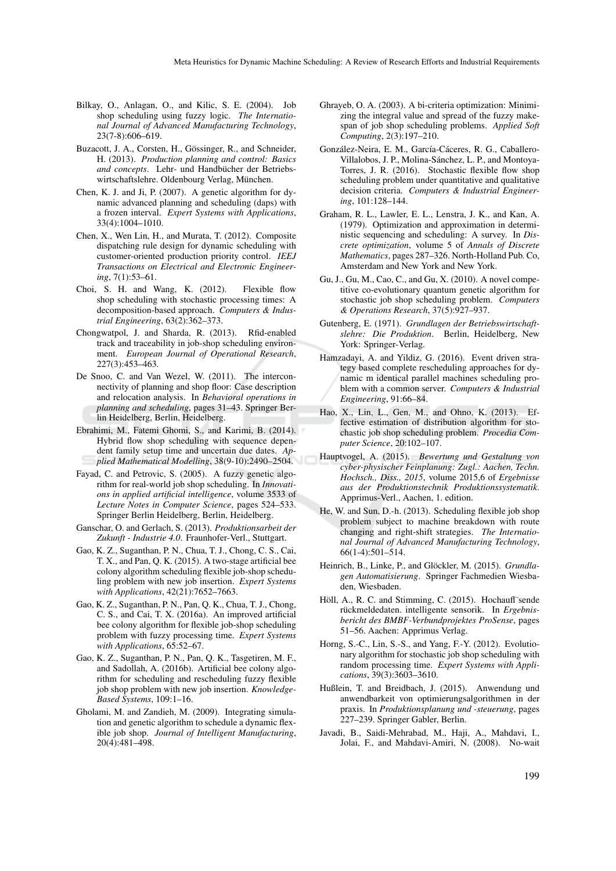- Bilkay, O., Anlagan, O., and Kilic, S. E. (2004). Job shop scheduling using fuzzy logic. *The International Journal of Advanced Manufacturing Technology*, 23(7-8):606–619.
- Buzacott, J. A., Corsten, H., Gössinger, R., and Schneider, H. (2013). *Production planning and control: Basics* and concepts. Lehr- und Handbücher der Betriebswirtschaftslehre. Oldenbourg Verlag, München.
- Chen, K. J. and Ji, P. (2007). A genetic algorithm for dynamic advanced planning and scheduling (daps) with a frozen interval. *Expert Systems with Applications*, 33(4):1004–1010.
- Chen, X., Wen Lin, H., and Murata, T. (2012). Composite dispatching rule design for dynamic scheduling with customer-oriented production priority control. *IEEJ Transactions on Electrical and Electronic Engineering*, 7(1):53–61.
- Choi, S. H. and Wang, K. (2012). Flexible flow shop scheduling with stochastic processing times: A decomposition-based approach. *Computers & Industrial Engineering*, 63(2):362–373.
- Chongwatpol, J. and Sharda, R. (2013). Rfid-enabled track and traceability in job-shop scheduling environment. *European Journal of Operational Research*, 227(3):453–463.
- De Snoo, C. and Van Wezel, W. (2011). The interconnectivity of planning and shop floor: Case description and relocation analysis. In *Behavioral operations in planning and scheduling*, pages 31–43. Springer Berlin Heidelberg, Berlin, Heidelberg.
- Ebrahimi, M., Fatemi Ghomi, S., and Karimi, B. (2014). Hybrid flow shop scheduling with sequence dependent family setup time and uncertain due dates. *Applied Mathematical Modelling*, 38(9-10):2490–2504.
- Fayad, C. and Petrovic, S. (2005). A fuzzy genetic algorithm for real-world job shop scheduling. In *Innovations in applied artificial intelligence*, volume 3533 of *Lecture Notes in Computer Science*, pages 524–533. Springer Berlin Heidelberg, Berlin, Heidelberg.
- Ganschar, O. and Gerlach, S. (2013). *Produktionsarbeit der Zukunft - Industrie 4.0*. Fraunhofer-Verl., Stuttgart.
- Gao, K. Z., Suganthan, P. N., Chua, T. J., Chong, C. S., Cai, T. X., and Pan, Q. K. (2015). A two-stage artificial bee colony algorithm scheduling flexible job-shop scheduling problem with new job insertion. *Expert Systems with Applications*, 42(21):7652–7663.
- Gao, K. Z., Suganthan, P. N., Pan, Q. K., Chua, T. J., Chong, C. S., and Cai, T. X. (2016a). An improved artificial bee colony algorithm for flexible job-shop scheduling problem with fuzzy processing time. *Expert Systems with Applications*, 65:52–67.
- Gao, K. Z., Suganthan, P. N., Pan, Q. K., Tasgetiren, M. F., and Sadollah, A. (2016b). Artificial bee colony algorithm for scheduling and rescheduling fuzzy flexible job shop problem with new job insertion. *Knowledge-Based Systems*, 109:1–16.
- Gholami, M. and Zandieh, M. (2009). Integrating simulation and genetic algorithm to schedule a dynamic flexible job shop. *Journal of Intelligent Manufacturing*, 20(4):481–498.
- Ghrayeb, O. A. (2003). A bi-criteria optimization: Minimizing the integral value and spread of the fuzzy makespan of job shop scheduling problems. *Applied Soft Computing*, 2(3):197–210.
- González-Neira, E. M., García-Cáceres, R. G., Caballero-Villalobos, J. P., Molina-Sánchez, L. P., and Montoya-Torres, J. R. (2016). Stochastic flexible flow shop scheduling problem under quantitative and qualitative decision criteria. *Computers & Industrial Engineering*, 101:128–144.
- Graham, R. L., Lawler, E. L., Lenstra, J. K., and Kan, A. (1979). Optimization and approximation in deterministic sequencing and scheduling: A survey. In *Discrete optimization*, volume 5 of *Annals of Discrete Mathematics*, pages 287–326. North-Holland Pub. Co, Amsterdam and New York and New York.
- Gu, J., Gu, M., Cao, C., and Gu, X. (2010). A novel competitive co-evolutionary quantum genetic algorithm for stochastic job shop scheduling problem. *Computers & Operations Research*, 37(5):927–937.
- Gutenberg, E. (1971). *Grundlagen der Betriebswirtschaftslehre: Die Produktion*. Berlin, Heidelberg, New York: Springer-Verlag.
- Hamzadayi, A. and Yildiz, G. (2016). Event driven strategy based complete rescheduling approaches for dynamic m identical parallel machines scheduling problem with a common server. *Computers & Industrial Engineering*, 91:66–84.
- Hao, X., Lin, L., Gen, M., and Ohno, K. (2013). Effective estimation of distribution algorithm for stochastic job shop scheduling problem. *Procedia Computer Science*, 20:102–107.
- Hauptvogel, A. (2015). *Bewertung und Gestaltung von cyber-physischer Feinplanung: Zugl.: Aachen, Techn. Hochsch., Diss., 2015*, volume 2015,6 of *Ergebnisse aus der Produktionstechnik Produktionssystematik*. Apprimus-Verl., Aachen, 1. edition.
- He, W. and Sun, D.-h. (2013). Scheduling flexible job shop problem subject to machine breakdown with route changing and right-shift strategies. *The International Journal of Advanced Manufacturing Technology*, 66(1-4):501–514.
- Heinrich, B., Linke, P., and Glöckler, M. (2015). *Grundlagen Automatisierung*. Springer Fachmedien Wiesbaden, Wiesbaden.
- Höll, A., R. C. and Stimming, C. (2015). Hochaufl"sende rückmeldedaten. intelligente sensorik. In Ergebnis*bericht des BMBF-Verbundprojektes ProSense*, pages 51–56. Aachen: Apprimus Verlag.
- Horng, S.-C., Lin, S.-S., and Yang, F.-Y. (2012). Evolutionary algorithm for stochastic job shop scheduling with random processing time. *Expert Systems with Applications*, 39(3):3603–3610.
- Hußlein, T. and Breidbach, J. (2015). Anwendung und anwendbarkeit von optimierungsalgorithmen in der praxis. In *Produktionsplanung und -steuerung*, pages 227–239. Springer Gabler, Berlin.
- Javadi, B., Saidi-Mehrabad, M., Haji, A., Mahdavi, I., Jolai, F., and Mahdavi-Amiri, N. (2008). No-wait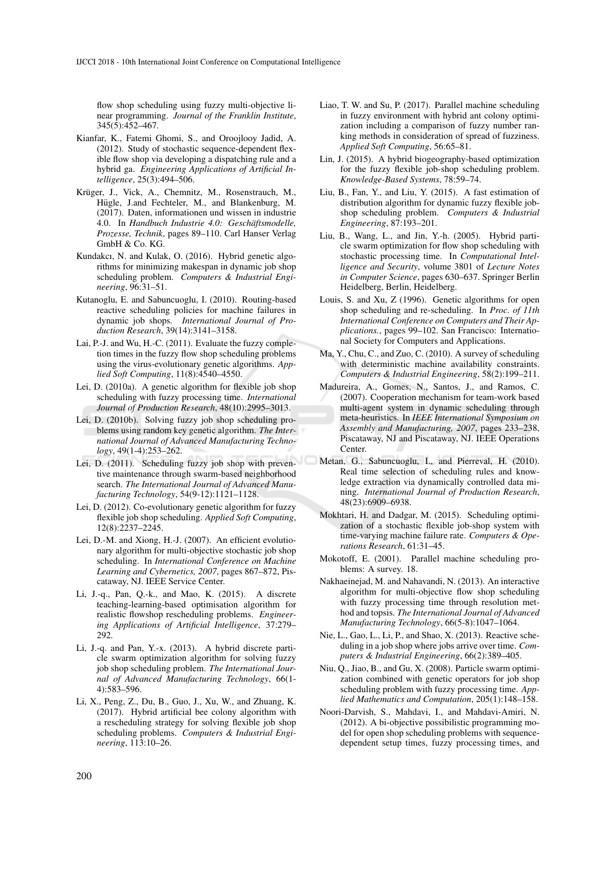flow shop scheduling using fuzzy multi-objective linear programming. *Journal of the Franklin Institute*, 345(5):452–467.

- Kianfar, K., Fatemi Ghomi, S., and Oroojlooy Jadid, A. (2012). Study of stochastic sequence-dependent flexible flow shop via developing a dispatching rule and a hybrid ga. *Engineering Applications of Artificial Intelligence*, 25(3):494–506.
- Krüger, J., Vick, A., Chemnitz, M., Rosenstrauch, M., Hügle, J.and Fechteler, M., and Blankenburg, M. (2017). Daten, informationen und wissen in industrie 4.0. In *Handbuch Industrie 4.0: Geschäftsmodelle*, *Prozesse, Technik*, pages 89–110. Carl Hanser Verlag GmbH & Co. KG.
- Kundakcı, N. and Kulak, O. (2016). Hybrid genetic algorithms for minimizing makespan in dynamic job shop scheduling problem. *Computers & Industrial Engineering*, 96:31–51.
- Kutanoglu, E. and Sabuncuoglu, I. (2010). Routing-based reactive scheduling policies for machine failures in dynamic job shops. *International Journal of Production Research*, 39(14):3141–3158.
- Lai, P.-J. and Wu, H.-C. (2011). Evaluate the fuzzy completion times in the fuzzy flow shop scheduling problems using the virus-evolutionary genetic algorithms. *Applied Soft Computing*, 11(8):4540–4550.
- Lei, D. (2010a). A genetic algorithm for flexible job shop scheduling with fuzzy processing time. *International Journal of Production Research*, 48(10):2995–3013.
- Lei, D. (2010b). Solving fuzzy job shop scheduling problems using random key genetic algorithm. *The International Journal of Advanced Manufacturing Technology*, 49(1-4):253–262.
- Lei, D. (2011). Scheduling fuzzy job shop with preventive maintenance through swarm-based neighborhood search. *The International Journal of Advanced Manufacturing Technology*, 54(9-12):1121–1128.
- Lei, D. (2012). Co-evolutionary genetic algorithm for fuzzy flexible job shop scheduling. *Applied Soft Computing*, 12(8):2237–2245.
- Lei, D.-M. and Xiong, H.-J. (2007). An efficient evolutionary algorithm for multi-objective stochastic job shop scheduling. In *International Conference on Machine Learning and Cybernetics, 2007*, pages 867–872, Piscataway, NJ. IEEE Service Center.
- Li, J.-q., Pan, Q.-k., and Mao, K. (2015). A discrete teaching-learning-based optimisation algorithm for realistic flowshop rescheduling problems. *Engineering Applications of Artificial Intelligence*, 37:279– 292.
- Li, J.-q. and Pan, Y.-x. (2013). A hybrid discrete particle swarm optimization algorithm for solving fuzzy job shop scheduling problem. *The International Journal of Advanced Manufacturing Technology*, 66(1- 4):583–596.
- Li, X., Peng, Z., Du, B., Guo, J., Xu, W., and Zhuang, K. (2017). Hybrid artificial bee colony algorithm with a rescheduling strategy for solving flexible job shop scheduling problems. *Computers & Industrial Engineering*, 113:10–26.
- Liao, T. W. and Su, P. (2017). Parallel machine scheduling in fuzzy environment with hybrid ant colony optimization including a comparison of fuzzy number ranking methods in consideration of spread of fuzziness. *Applied Soft Computing*, 56:65–81.
- Lin, J. (2015). A hybrid biogeography-based optimization for the fuzzy flexible job-shop scheduling problem. *Knowledge-Based Systems*, 78:59–74.
- Liu, B., Fan, Y., and Liu, Y. (2015). A fast estimation of distribution algorithm for dynamic fuzzy flexible jobshop scheduling problem. *Computers & Industrial Engineering*, 87:193–201.
- Liu, B., Wang, L., and Jin, Y.-h. (2005). Hybrid particle swarm optimization for flow shop scheduling with stochastic processing time. In *Computational Intelligence and Security*, volume 3801 of *Lecture Notes in Computer Science*, pages 630–637. Springer Berlin Heidelberg, Berlin, Heidelberg.
- Louis, S. and Xu, Z (1996). Genetic algorithms for open shop scheduling and re-scheduling. In *Proc. of 11th International Conference on Computers and Their Applications.*, pages 99–102. San Francisco: International Society for Computers and Applications.
- Ma, Y., Chu, C., and Zuo, C. (2010). A survey of scheduling with deterministic machine availability constraints. *Computers & Industrial Engineering*, 58(2):199–211.
- Madureira, A., Gomes, N., Santos, J., and Ramos, C. (2007). Cooperation mechanism for team-work based multi-agent system in dynamic scheduling through meta-heuristics. In *IEEE International Symposium on Assembly and Manufacturing, 2007*, pages 233–238, Piscataway, NJ and Piscataway, NJ. IEEE Operations Center.
- Metan, G., Sabuncuoglu, I., and Pierreval, H. (2010). Real time selection of scheduling rules and knowledge extraction via dynamically controlled data mining. *International Journal of Production Research*, 48(23):6909–6938.
- Mokhtari, H. and Dadgar, M. (2015). Scheduling optimization of a stochastic flexible job-shop system with time-varying machine failure rate. *Computers & Operations Research*, 61:31–45.
- Mokotoff, E. (2001). Parallel machine scheduling problems: A survey. 18.
- Nakhaeinejad, M. and Nahavandi, N. (2013). An interactive algorithm for multi-objective flow shop scheduling with fuzzy processing time through resolution method and topsis. *The International Journal of Advanced Manufacturing Technology*, 66(5-8):1047–1064.
- Nie, L., Gao, L., Li, P., and Shao, X. (2013). Reactive scheduling in a job shop where jobs arrive over time. *Computers & Industrial Engineering*, 66(2):389–405.
- Niu, Q., Jiao, B., and Gu, X. (2008). Particle swarm optimization combined with genetic operators for job shop scheduling problem with fuzzy processing time. *Applied Mathematics and Computation*, 205(1):148–158.
- Noori-Darvish, S., Mahdavi, I., and Mahdavi-Amiri, N. (2012). A bi-objective possibilistic programming model for open shop scheduling problems with sequencedependent setup times, fuzzy processing times, and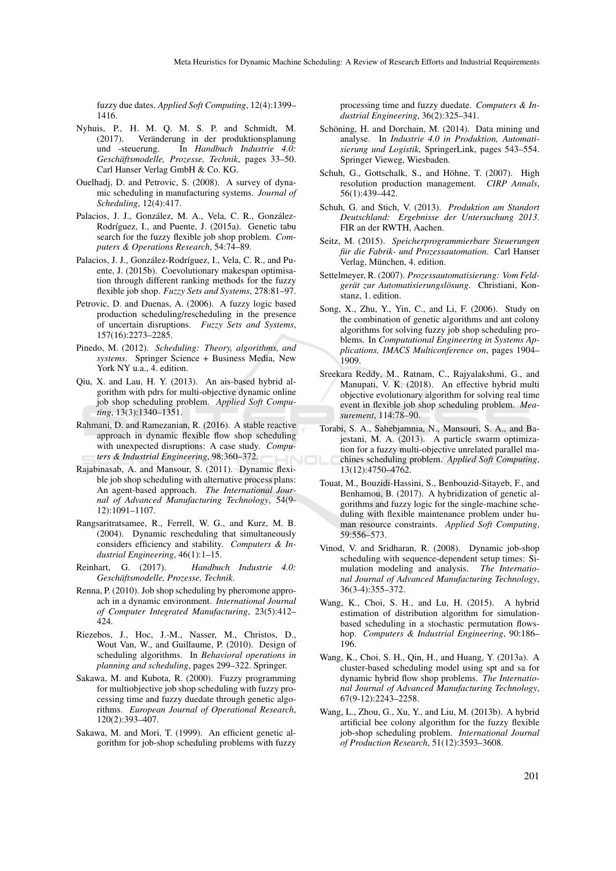fuzzy due dates. *Applied Soft Computing*, 12(4):1399– 1416.

- Nyhuis, P., H. M. Q. M. S. P. and Schmidt, M.  $(2017)$ . Veränderung in der produktionsplanung und -steuerung. In *Handbuch Industrie 4.0: Geschäftsmodelle, Prozesse, Technik, pages 33–50.* Carl Hanser Verlag GmbH & Co. KG.
- Ouelhadj, D. and Petrovic, S. (2008). A survey of dynamic scheduling in manufacturing systems. *Journal of Scheduling*, 12(4):417.
- Palacios, J. J., González, M. A., Vela, C. R., González-Rodríguez, I., and Puente, J. (2015a). Genetic tabu search for the fuzzy flexible job shop problem. *Computers & Operations Research*, 54:74–89.
- Palacios, J. J., González-Rodríguez, I., Vela, C. R., and Puente, J. (2015b). Coevolutionary makespan optimisation through different ranking methods for the fuzzy flexible job shop. *Fuzzy Sets and Systems*, 278:81–97.
- Petrovic, D. and Duenas, A. (2006). A fuzzy logic based production scheduling/rescheduling in the presence of uncertain disruptions. *Fuzzy Sets and Systems*, 157(16):2273–2285.
- Pinedo, M. (2012). *Scheduling: Theory, algorithms, and systems*. Springer Science + Business Media, New York NY u.a., 4. edition.
- Qiu, X. and Lau, H. Y. (2013). An ais-based hybrid algorithm with pdrs for multi-objective dynamic online job shop scheduling problem. *Applied Soft Computing*, 13(3):1340–1351.
- Rahmani, D. and Ramezanian, R. (2016). A stable reactive approach in dynamic flexible flow shop scheduling with unexpected disruptions: A case study. *Computers & Industrial Engineering*, 98:360–372.
- Rajabinasab, A. and Mansour, S. (2011). Dynamic flexible job shop scheduling with alternative process plans: An agent-based approach. *The International Journal of Advanced Manufacturing Technology*, 54(9- 12):1091–1107.
- Rangsaritratsamee, R., Ferrell, W. G., and Kurz, M. B. (2004). Dynamic rescheduling that simultaneously considers efficiency and stability. *Computers & Industrial Engineering*, 46(1):1–15.
- Reinhart, G. (2017). *Handbuch Industrie 4.0:*  $Geschäftsmodelle, Prozesse, Technik.$
- Renna, P. (2010). Job shop scheduling by pheromone approach in a dynamic environment. *International Journal of Computer Integrated Manufacturing*, 23(5):412– 424.
- Riezebos, J., Hoc, J.-M., Nasser, M., Christos, D., Wout Van, W., and Guillaume, P. (2010). Design of scheduling algorithms. In *Behavioral operations in planning and scheduling*, pages 299–322. Springer.
- Sakawa, M. and Kubota, R. (2000). Fuzzy programming for multiobjective job shop scheduling with fuzzy processing time and fuzzy duedate through genetic algorithms. *European Journal of Operational Research*, 120(2):393–407.
- Sakawa, M. and Mori, T. (1999). An efficient genetic algorithm for job-shop scheduling problems with fuzzy

processing time and fuzzy duedate. *Computers & Industrial Engineering*, 36(2):325–341.

- Schöning, H. and Dorchain, M. (2014). Data mining und analyse. In *Industrie 4.0 in Produktion, Automatisierung und Logistik*, SpringerLink, pages 543–554. Springer Vieweg, Wiesbaden.
- Schuh, G., Gottschalk, S., and Höhne, T. (2007). High resolution production management. *CIRP Annals*, 56(1):439–442.
- Schuh, G. and Stich, V. (2013). *Produktion am Standort Deutschland: Ergebnisse der Untersuchung 2013*. FIR an der RWTH, Aachen.
- Seitz, M. (2015). *Speicherprogrammierbare Steuerungen für die Fabrik- und Prozessautomation.* Carl Hanser Verlag, München, 4. edition.
- Settelmeyer, R. (2007). *Prozessautomatisierung: Vom Feldgerat zur Automatisierungsl ¨ osung ¨* . Christiani, Konstanz, 1. edition.
- Song, X., Zhu, Y., Yin, C., and Li, F. (2006). Study on the combination of genetic algorithms and ant colony algorithms for solving fuzzy job shop scheduling problems. In *Computational Engineering in Systems Applications, IMACS Multiconference on*, pages 1904– .<br>1909.
- Sreekara Reddy, M., Ratnam, C., Rajyalakshmi, G., and Manupati, V. K. (2018). An effective hybrid multi objective evolutionary algorithm for solving real time event in flexible job shop scheduling problem. *Measurement*, 114:78–90.
- Torabi, S. A., Sahebjamnia, N., Mansouri, S. A., and Bajestani, M. A. (2013). A particle swarm optimization for a fuzzy multi-objective unrelated parallel machines scheduling problem. *Applied Soft Computing*, 13(12):4750–4762.
- Touat, M., Bouzidi-Hassini, S., Benbouzid-Sitayeb, F., and Benhamou, B. (2017). A hybridization of genetic algorithms and fuzzy logic for the single-machine scheduling with flexible maintenance problem under human resource constraints. *Applied Soft Computing*, 59:556–573.
- Vinod, V. and Sridharan, R. (2008). Dynamic job-shop scheduling with sequence-dependent setup times: Simulation modeling and analysis. *The International Journal of Advanced Manufacturing Technology*, 36(3-4):355–372.
- Wang, K., Choi, S. H., and Lu, H. (2015). A hybrid estimation of distribution algorithm for simulationbased scheduling in a stochastic permutation flowshop. *Computers & Industrial Engineering*, 90:186– 196.
- Wang, K., Choi, S. H., Qin, H., and Huang, Y. (2013a). A cluster-based scheduling model using spt and sa for dynamic hybrid flow shop problems. *The International Journal of Advanced Manufacturing Technology*, 67(9-12):2243–2258.
- Wang, L., Zhou, G., Xu, Y., and Liu, M. (2013b). A hybrid artificial bee colony algorithm for the fuzzy flexible job-shop scheduling problem. *International Journal of Production Research*, 51(12):3593–3608.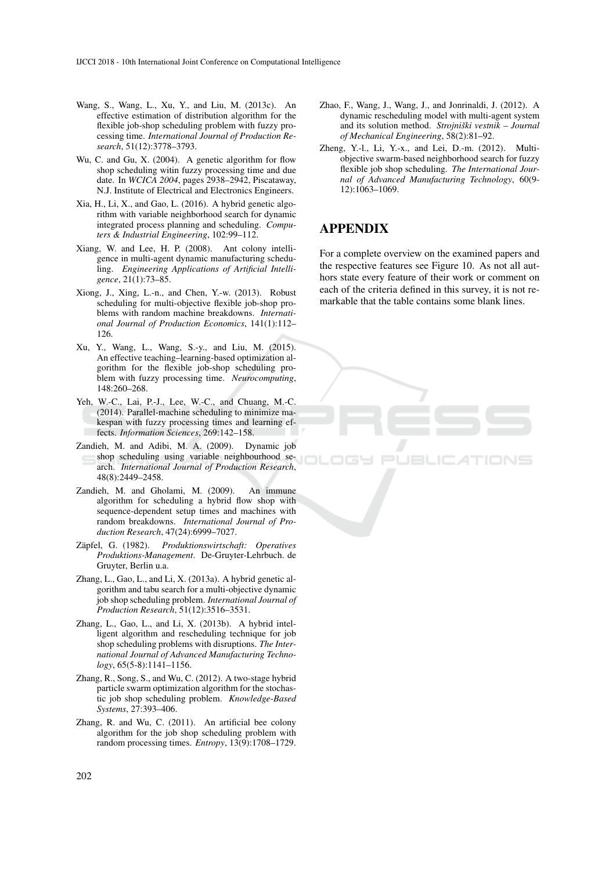- Wang, S., Wang, L., Xu, Y., and Liu, M. (2013c). An effective estimation of distribution algorithm for the flexible job-shop scheduling problem with fuzzy processing time. *International Journal of Production Research*, 51(12):3778–3793.
- Wu, C. and Gu, X. (2004). A genetic algorithm for flow shop scheduling witin fuzzy processing time and due date. In *WCICA 2004*, pages 2938–2942, Piscataway, N.J. Institute of Electrical and Electronics Engineers.
- Xia, H., Li, X., and Gao, L. (2016). A hybrid genetic algorithm with variable neighborhood search for dynamic integrated process planning and scheduling. *Computers & Industrial Engineering*, 102:99–112.
- Xiang, W. and Lee, H. P. (2008). Ant colony intelligence in multi-agent dynamic manufacturing scheduling. *Engineering Applications of Artificial Intelligence*, 21(1):73–85.
- Xiong, J., Xing, L.-n., and Chen, Y.-w. (2013). Robust scheduling for multi-objective flexible job-shop problems with random machine breakdowns. *International Journal of Production Economics*, 141(1):112– 126.
- Xu, Y., Wang, L., Wang, S.-y., and Liu, M. (2015). An effective teaching–learning-based optimization algorithm for the flexible job-shop scheduling problem with fuzzy processing time. *Neurocomputing*, 148:260–268.
- Yeh, W.-C., Lai, P.-J., Lee, W.-C., and Chuang, M.-C. (2014). Parallel-machine scheduling to minimize makespan with fuzzy processing times and learning effects. *Information Sciences*, 269:142–158.
- Zandieh, M. and Adibi, M. A. (2009). Dynamic job shop scheduling using variable neighbourhood search. *International Journal of Production Research*, 48(8):2449–2458.
- Zandieh, M. and Gholami, M. (2009). An immune algorithm for scheduling a hybrid flow shop with sequence-dependent setup times and machines with random breakdowns. *International Journal of Production Research*, 47(24):6999–7027.
- Zapfel, G. (1982). ¨ *Produktionswirtschaft: Operatives Produktions-Management*. De-Gruyter-Lehrbuch. de Gruyter, Berlin u.a.
- Zhang, L., Gao, L., and Li, X. (2013a). A hybrid genetic algorithm and tabu search for a multi-objective dynamic job shop scheduling problem. *International Journal of Production Research*, 51(12):3516–3531.
- Zhang, L., Gao, L., and Li, X. (2013b). A hybrid intelligent algorithm and rescheduling technique for job shop scheduling problems with disruptions. *The International Journal of Advanced Manufacturing Technology*, 65(5-8):1141–1156.
- Zhang, R., Song, S., and Wu, C. (2012). A two-stage hybrid particle swarm optimization algorithm for the stochastic job shop scheduling problem. *Knowledge-Based Systems*, 27:393–406.
- Zhang, R. and Wu, C. (2011). An artificial bee colony algorithm for the job shop scheduling problem with random processing times. *Entropy*, 13(9):1708–1729.
- Zhao, F., Wang, J., Wang, J., and Jonrinaldi, J. (2012). A dynamic rescheduling model with multi-agent system and its solution method. *Strojniški vestnik - Journal of Mechanical Engineering*, 58(2):81–92.
- Zheng, Y.-l., Li, Y.-x., and Lei, D.-m. (2012). Multiobjective swarm-based neighborhood search for fuzzy flexible job shop scheduling. *The International Journal of Advanced Manufacturing Technology*, 60(9- 12):1063–1069.

## APPENDIX

For a complete overview on the examined papers and the respective features see Figure 10. As not all authors state every feature of their work or comment on each of the criteria defined in this survey, it is not remarkable that the table contains some blank lines.